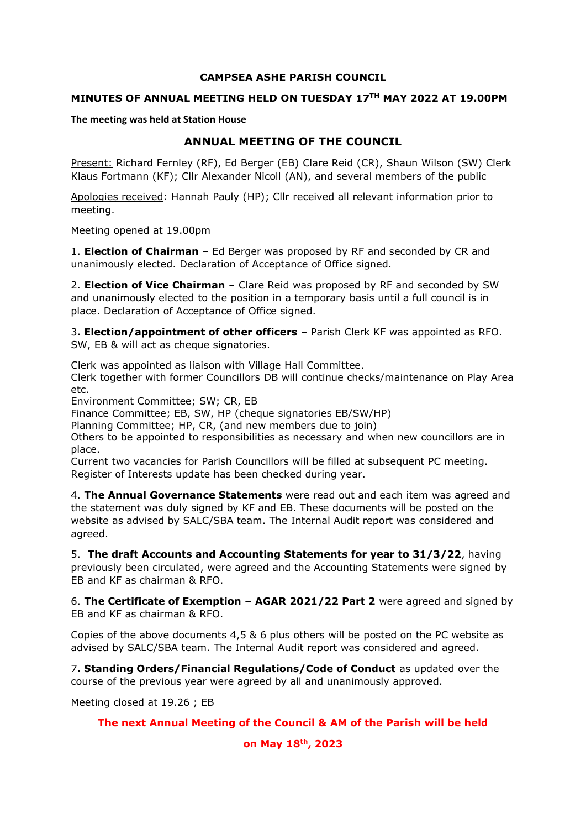#### **CAMPSEA ASHE PARISH COUNCIL**

### **MINUTES OF ANNUAL MEETING HELD ON TUESDAY 17 TH MAY 2022 AT 19.00PM**

**The meeting was held at Station House**

# **ANNUAL MEETING OF THE COUNCIL**

Present: Richard Fernley (RF), Ed Berger (EB) Clare Reid (CR), Shaun Wilson (SW) Clerk Klaus Fortmann (KF); Cllr Alexander Nicoll (AN), and several members of the public

Apologies received: Hannah Pauly (HP); Cllr received all relevant information prior to meeting.

Meeting opened at 19.00pm

1. **Election of Chairman** – Ed Berger was proposed by RF and seconded by CR and unanimously elected. Declaration of Acceptance of Office signed.

2. **Election of Vice Chairman** – Clare Reid was proposed by RF and seconded by SW and unanimously elected to the position in a temporary basis until a full council is in place. Declaration of Acceptance of Office signed.

3**. Election/appointment of other officers** – Parish Clerk KF was appointed as RFO. SW, EB & will act as cheque signatories.

Clerk was appointed as liaison with Village Hall Committee.

Clerk together with former Councillors DB will continue checks/maintenance on Play Area etc.

Environment Committee; SW; CR, EB

Finance Committee; EB, SW, HP (cheque signatories EB/SW/HP)

Planning Committee; HP, CR, (and new members due to join)

Others to be appointed to responsibilities as necessary and when new councillors are in place.

Current two vacancies for Parish Councillors will be filled at subsequent PC meeting. Register of Interests update has been checked during year.

4. **The Annual Governance Statements** were read out and each item was agreed and the statement was duly signed by KF and EB. These documents will be posted on the website as advised by SALC/SBA team. The Internal Audit report was considered and agreed.

5. **The draft Accounts and Accounting Statements for year to 31/3/22**, having previously been circulated, were agreed and the Accounting Statements were signed by EB and KF as chairman & RFO.

6. **The Certificate of Exemption – AGAR 2021/22 Part 2** were agreed and signed by EB and KF as chairman & RFO.

Copies of the above documents 4,5 & 6 plus others will be posted on the PC website as advised by SALC/SBA team. The Internal Audit report was considered and agreed.

7**. Standing Orders/Financial Regulations/Code of Conduct** as updated over the course of the previous year were agreed by all and unanimously approved.

Meeting closed at 19.26 ; EB

#### **The next Annual Meeting of the Council & AM of the Parish will be held**

**on May 18 th , 2023**